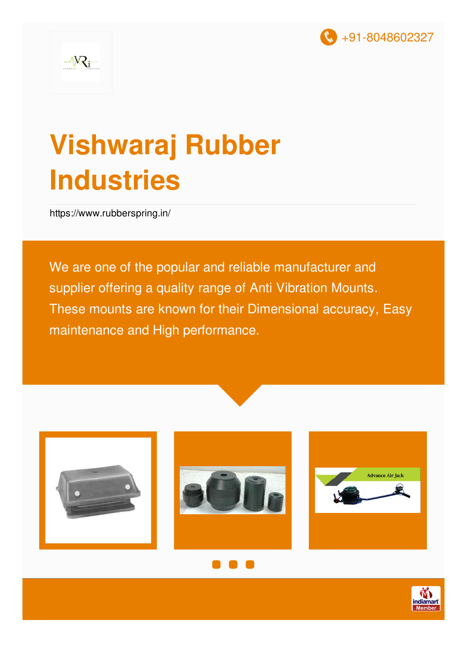

## **Vishwaraj Rubber Industries**

<https://www.rubberspring.in/>

We are one of the popular and reliable manufacturer and supplier offering a quality range of Anti Vibration Mounts. These mounts are known for their Dimensional accuracy, Easy maintenance and High performance.







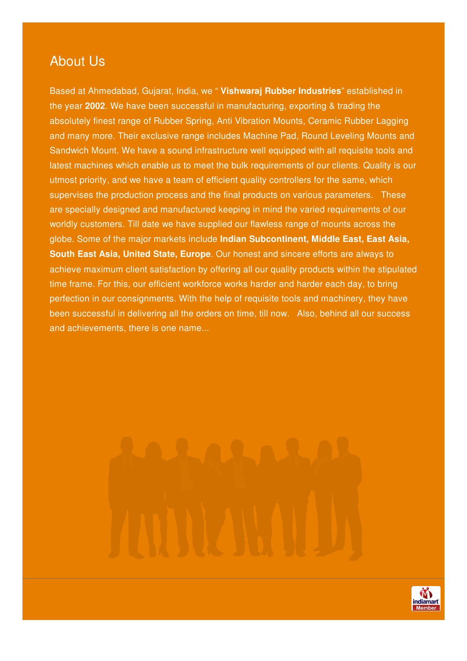#### About Us

Based at Ahmedabad, Gujarat, India, we " **Vishwaraj Rubber Industries**" established in the year **2002**. We have been successful in manufacturing, exporting & trading the absolutely finest range of Rubber Spring, Anti Vibration Mounts, Ceramic Rubber Lagging and many more. Their exclusive range includes Machine Pad, Round Leveling Mounts and Sandwich Mount. We have a sound infrastructure well equipped with all requisite tools and latest machines which enable us to meet the bulk requirements of our clients. Quality is our utmost priority, and we have a team of efficient quality controllers for the same, which supervises the production process and the final products on various parameters. These are specially designed and manufactured keeping in mind the varied requirements of our worldly customers. Till date we have supplied our flawless range of mounts across the globe. Some of the major markets include **Indian Subcontinent, Middle East, East Asia, South East Asia, United State, Europe**. Our honest and sincere efforts are always to achieve maximum client satisfaction by offering all our quality products within the stipulated time frame. For this, our efficient workforce works harder and harder each day, to bring perfection in our consignments. With the help of requisite tools and machinery, they have been successful in delivering all the orders on time, till now. Also, behind all our success and achievements, there is one name...

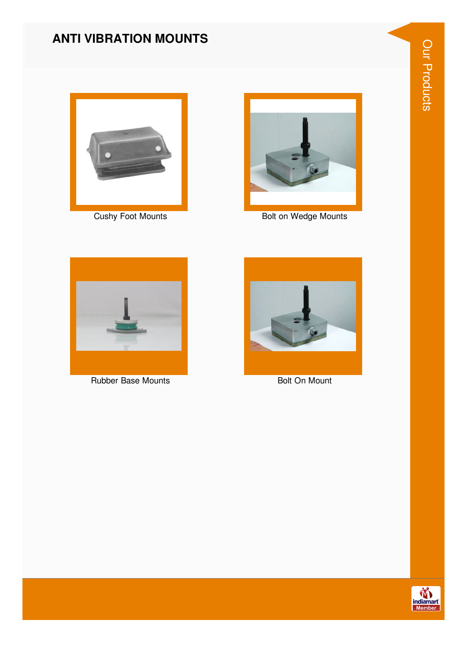#### **ANTI VIBRATION MOUNTS**



**Cushy Foot Mounts** 



Bolt on Wedge Mounts



**Rubber Base Mounts** 



**Bolt On Mount** 

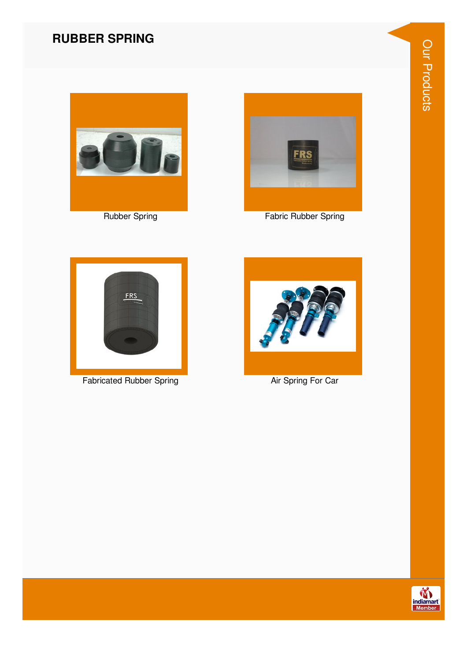#### **RUBBER SPRING**



**Rubber Spring** 



**Fabric Rubber Spring** 



**Fabricated Rubber Spring** 



Air Spring For Car

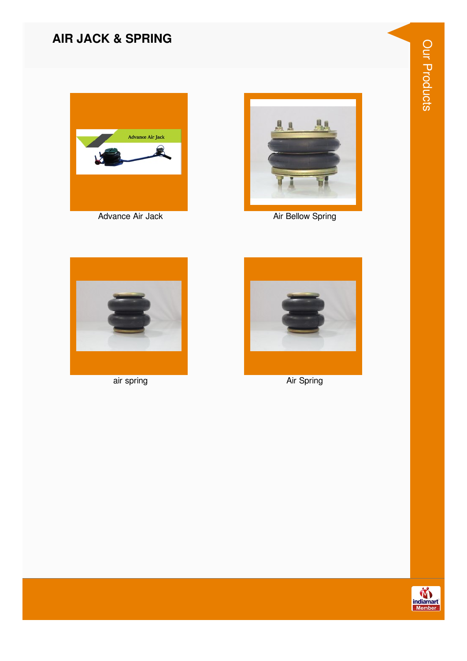#### **AIR JACK & SPRING**





Air Bellow Spring



air spring



Air Spring

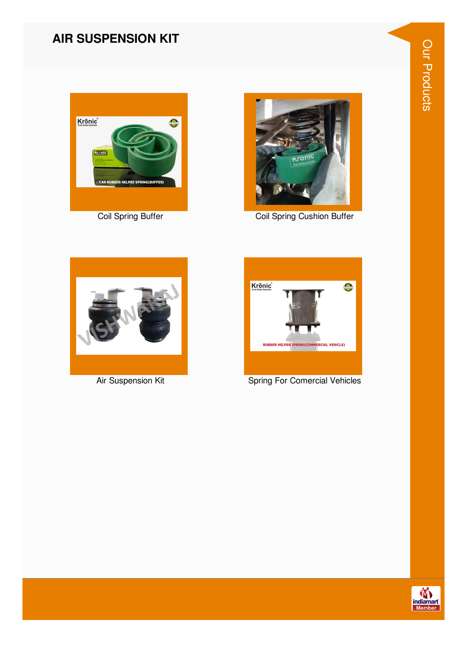#### **AIR SUSPENSION KIT**





Coil Spring Cushion Buffer



Air Suspension Kit



**Spring For Comercial Vehicles** 

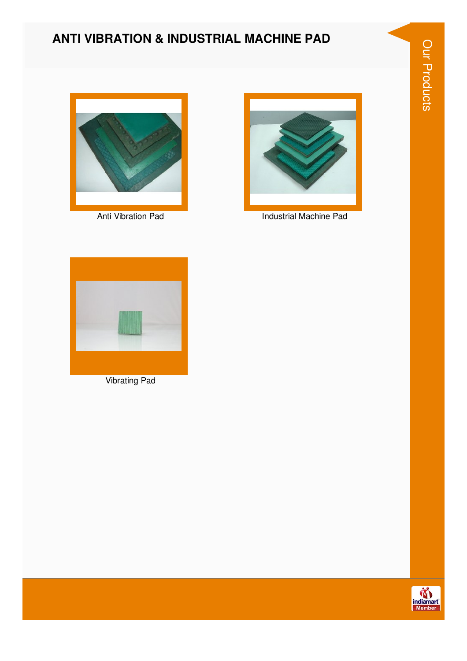# Our Products

#### **ANTI VIBRATION & INDUSTRIAL MACHINE PAD**



**Anti Vibration Pad** 



Industrial Machine Pad



**Vibrating Pad** 

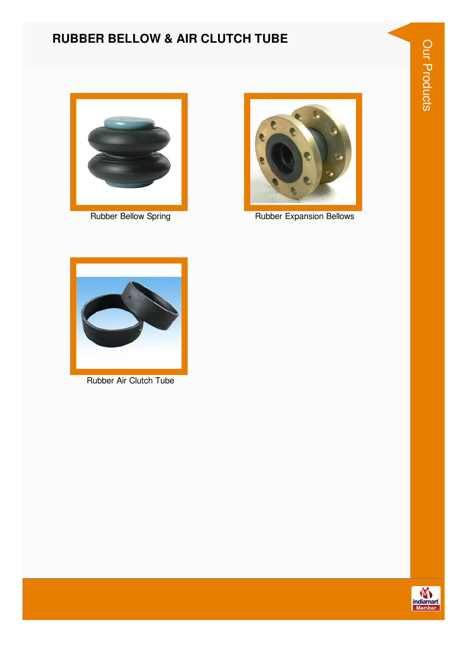# Our Products

#### **RUBBER BELLOW & AIR CLUTCH TUBE**



**Rubber Bellow Spring** 



**Rubber Expansion Bellows** 



Rubber Air Clutch Tube

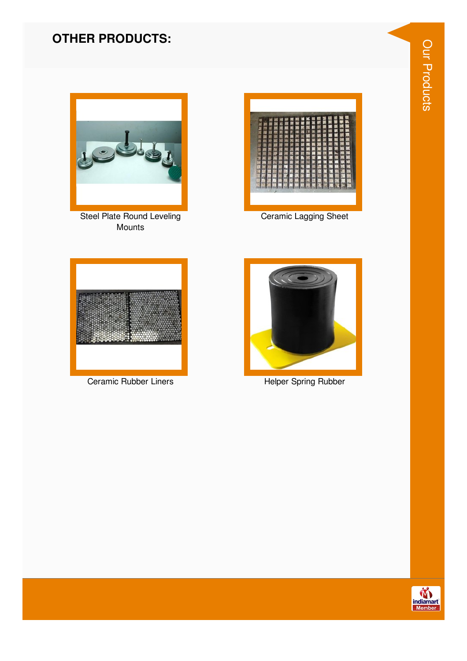#### **OTHER PRODUCTS:**



Steel Plate Round Leveling Mounts



**Ceramic Lagging Sheet** 



Ceramic Rubber Liners



**Helper Spring Rubber** 

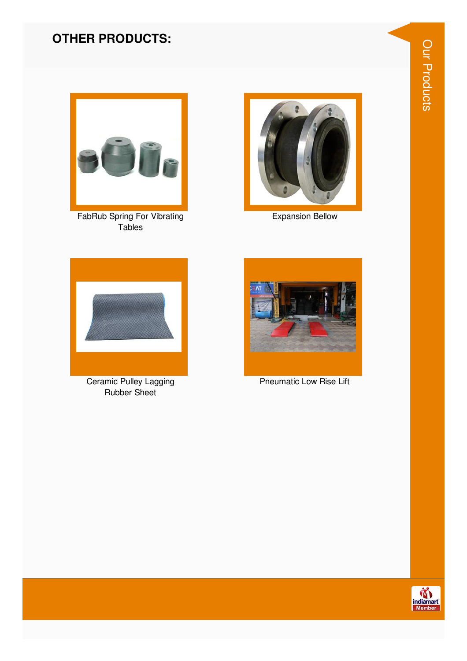#### **OTHER PRODUCTS:**



FabRub Spring For Vibrating Tables



**Expansion Bellow** 



Ceramic Pulley Lagging Rubber Sheet



**Pneumatic Low Rise Lift** 

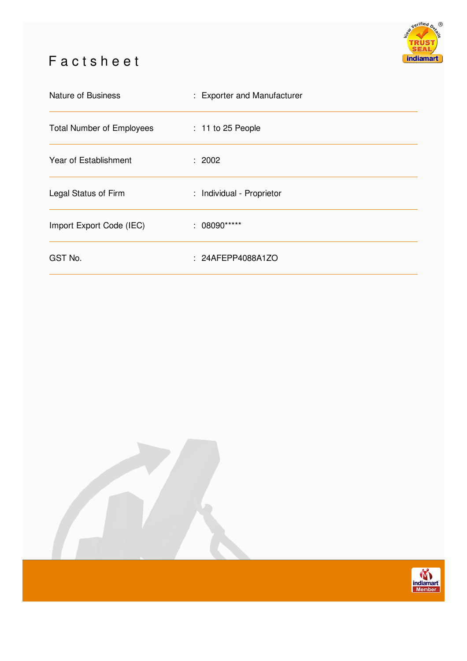### Factsheet



| Nature of Business               | : Exporter and Manufacturer |
|----------------------------------|-----------------------------|
| <b>Total Number of Employees</b> | $: 11$ to 25 People         |
| Year of Establishment            | : 2002                      |
| Legal Status of Firm             | : Individual - Proprietor   |
| Import Export Code (IEC)         | $: 08090***$                |
| GST No.                          | : 24AFEPP4088A1ZO           |